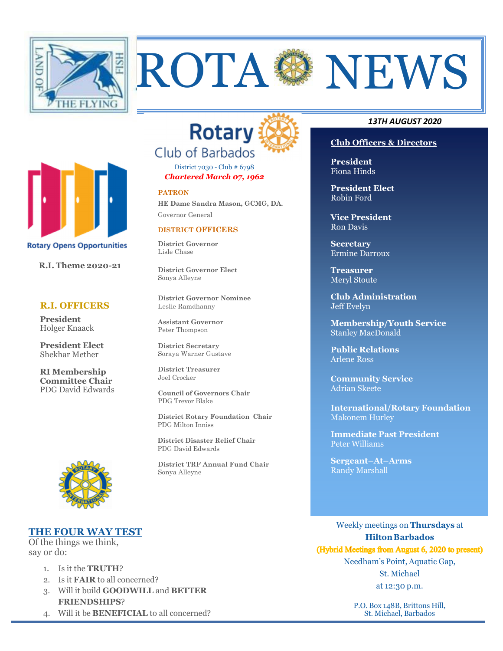

 **R.I. Theme 2020-21** 

**Rotary Opens Opportunities** 

 **R.I. OFFICERS** 

**President Elect**  Shekhar Mether

**RI Membership Committee Chair**  PDG David Edwards

**President** Holger Knaack



District 7030 - Club # 6798 *Chartered March 07, 1962* 

#### **PATRON**

**HE Dame Sandra Mason, GCMG, DA.** Governor General

### **DISTRICT OFFICERS**

**District Governor** Lisle Chase

**District Governor Elect**  Sonya Alleyne

**District Governor Nominee**  Leslie Ramdhanny

**Assistant Governor**  Peter Thompson

**District Secretary**  Soraya Warner Gustave

**District Treasurer**  Joel Crocker

**Council of Governors Chair**  PDG Trevor Blake

**District Rotary Foundation Chair** PDG Milton Inniss

 **District Disaster Relief Chair** PDG David Edwards

**District TRF Annual Fund Chair**  Sonya Alleyne

## *13TH AUGUST 2020*

## **Club Officers & Directors**

**President** Fiona Hinds

**President Elect**  Robin Ford

**Vice President**  Ron Davis

**Secretary**  Ermine Darroux

**Treasurer**  Meryl Stoute

**Club Administration**  Jeff Evelyn

**Membership/Youth Service**  Stanley MacDonald

**Public Relations**  Arlene Ross

**Community Service**  Adrian Skeete

**International/Rotary Foundation**  Makonem Hurley

**Immediate Past President**  Peter Williams

**Sergeant–At–Arms**  Randy Marshall

Weekly meetings on **Thursdays** at **Hilton Barbados**  (Hybrid Meetings from August 6, 2020 to present) Needham's Point, Aquatic Gap, St. Michael

at 12:30 p.m.

P.O. Box 148B, Brittons Hill, St. Michael, Barbados





## **THE FOUR WAY TEST**

Of the things we think, say or do:

- 1. Is it the **TRUTH**?
- 2. Is it **FAIR** to all concerned?
- 3. Will it build **GOODWILL** and **BETTER FRIENDSHIPS**?
- 4. Will it be **BENEFICIAL** to all concerned?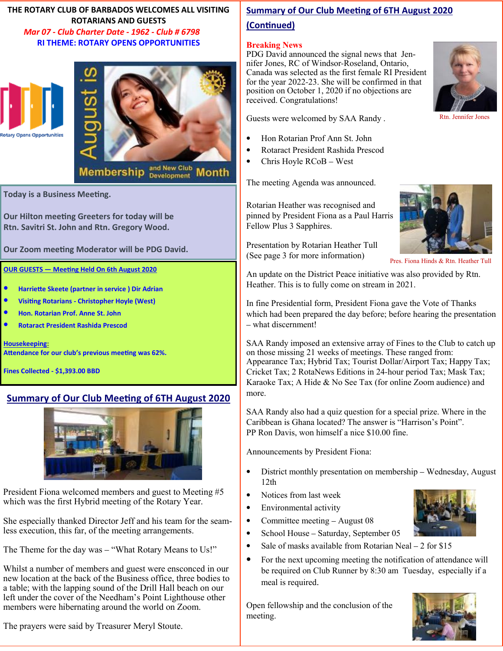## **THE ROTARY CLUB OF BARBADOS WELCOMES ALL VISITING ROTARIANS AND GUESTS**   *Mar 07 - Club Charter Date - 1962 - Club # 6798*  **RI THEME: ROTARY OPENS OPPORTUNITIES**





Membership and New Club **Month** 

**Today is a Business Meeting.** 

**Our Hilton meeting Greeters for today will be Rtn. Savitri St. John and Rtn. Gregory Wood.** 

**Our Zoom meeting Moderator will be PDG David.** 

### **OUR GUESTS - Meeting Held On 6th August 2020**

- **Harriette Skeete (partner in service ) Dir Adrian**
- **Visiting Rotarians Christopher Hoyle (West)**
- **Hon. Rotarian Prof. Anne St. John**
- **Rotaract President Rashida Prescod**

#### **Housekeeping:**

Attendance for our club's previous meeting was 62%.

**Fines Collected - \$1,393.00 BBD** 

## **Summary of Our Club Meeting of 6TH August 2020**



President Fiona welcomed members and guest to Meeting #5 which was the first Hybrid meeting of the Rotary Year.

She especially thanked Director Jeff and his team for the seamless execution, this far, of the meeting arrangements.

The Theme for the day was – "What Rotary Means to Us!"

Whilst a number of members and guest were ensconced in our new location at the back of the Business office, three bodies to a table; with the lapping sound of the Drill Hall beach on our left under the cover of the Needham's Point Lighthouse other members were hibernating around the world on Zoom.

The prayers were said by Treasurer Meryl Stoute.

## **Summary of Our Club Meeting of 6TH August 2020 (Continued)**

## **Breaking News**

PDG David announced the signal news that Jennifer Jones, RC of Windsor-Roseland, Ontario, Canada was selected as the first female RI President for the year 2022-23. She will be confirmed in that position on October 1, 2020 if no objections are received. Congratulations!

Guests were welcomed by SAA Randy .

- Hon Rotarian Prof Ann St. John
- Rotaract President Rashida Prescod
- Chris Hoyle RCoB West

The meeting Agenda was announced.

Rotarian Heather was recognised and pinned by President Fiona as a Paul Harris Fellow Plus 3 Sapphires.

Presentation by Rotarian Heather Tull (See page 3 for more information)



Pres. Fiona Hinds & Rtn. Heather Tull

An update on the District Peace initiative was also provided by Rtn. Heather. This is to fully come on stream in 2021.

In fine Presidential form, President Fiona gave the Vote of Thanks which had been prepared the day before; before hearing the presentation – what discernment!

SAA Randy imposed an extensive array of Fines to the Club to catch up on those missing 21 weeks of meetings. These ranged from: Appearance Tax; Hybrid Tax; Tourist Dollar/Airport Tax; Happy Tax; Cricket Tax; 2 RotaNews Editions in 24-hour period Tax; Mask Tax; Karaoke Tax; A Hide & No See Tax (for online Zoom audience) and more.

SAA Randy also had a quiz question for a special prize. Where in the Caribbean is Ghana located? The answer is "Harrison's Point". PP Ron Davis, won himself a nice \$10.00 fine.

Announcements by President Fiona:

- District monthly presentation on membership Wednesday, August  $12th$
- Notices from last week
- Environmental activity
- Committee meeting August 08
- School House Saturday, September 05
- Sale of masks available from Rotarian Neal 2 for \$15
- For the next upcoming meeting the notification of attendance will be required on Club Runner by 8:30 am Tuesday, especially if a meal is required.

Open fellowship and the conclusion of the meeting.





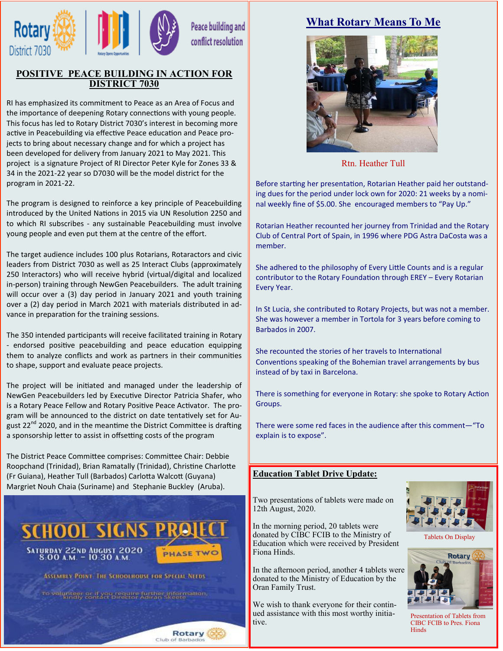

## **POSITIVE PEACE BUILDING IN ACTION FOR DISTRICT 7030**

RI has emphasized its commitment to Peace as an Area of Focus and the importance of deepening Rotary connections with young people. This focus has led to Rotary District 7030's interest in becoming more active in Peacebuilding via effective Peace education and Peace projects to bring about necessary change and for which a project has been developed for delivery from January 2021 to May 2021. This project is a signature Project of RI Director Peter Kyle for Zones 33 & 34 in the 2021-22 year so D7030 will be the model district for the program in 2021-22.

The program is designed to reinforce a key principle of Peacebuilding introduced by the United Nations in 2015 via UN Resolution 2250 and to which RI subscribes - any sustainable Peacebuilding must involve young people and even put them at the centre of the effort.

The target audience includes 100 plus Rotarians, Rotaractors and civic leaders from District 7030 as well as 25 Interact Clubs (approximately 250 Interactors) who will receive hybrid (virtual/digital and localized in-person) training through NewGen Peacebuilders. The adult training will occur over a (3) day period in January 2021 and youth training over a (2) day period in March 2021 with materials distributed in advance in preparation for the training sessions.

The 350 intended participants will receive facilitated training in Rotary - endorsed positive peacebuilding and peace education equipping them to analyze conflicts and work as partners in their communities to shape, support and evaluate peace projects.

The project will be initiated and managed under the leadership of NewGen Peacebuilders led by Executive Director Patricia Shafer, who is a Rotary Peace Fellow and Rotary Positive Peace Activator. The program will be announced to the district on date tentatively set for August 22<sup>nd</sup> 2020, and in the meantime the District Committee is drafting a sponsorship letter to assist in offsetting costs of the program

The District Peace Committee comprises: Committee Chair: Debbie Roopchand (Trinidad), Brian Ramatally (Trinidad), Christine Charlotte (Fr Guiana), Heather Tull (Barbados) Carlotta Walcott (Guyana) Margriet Nouh Chaia (Suriname) and Stephanie Buckley (Aruba).



**ASSEMBLY POINT: THE SCHOOLHOUSE FOR SPECIAL NEEDS** 

To volunteer or if you require further information.<br>Kindly contact Director Adiran Skeete

Rotary Club of Barbado

## **What Rotary Means To Me**



Rtn. Heather Tull

Before starting her presentation, Rotarian Heather paid her outstanding dues for the period under lock own for 2020: 21 weeks by a nominal weekly fine of \$5.00. She encouraged members to "Pay Up."

Rotarian Heather recounted her journey from Trinidad and the Rotary Club of Central Port of Spain, in 1996 where PDG Astra DaCosta was a member.

She adhered to the philosophy of Every Little Counts and is a regular contributor to the Rotary Foundation through EREY - Every Rotarian Every Year.

In St Lucia, she contributed to Rotary Projects, but was not a member. She was however a member in Tortola for 3 years before coming to Barbados in 2007.

She recounted the stories of her travels to International Conventions speaking of the Bohemian travel arrangements by bus instead of by taxi in Barcelona.

There is something for everyone in Rotary: she spoke to Rotary Action Groups.

There were some red faces in the audience after this comment—"To explain is to expose".

## **Education Tablet Drive Update:**

Two presentations of tablets were made on 12th August, 2020.

In the morning period, 20 tablets were donated by CIBC FCIB to the Ministry of Education which were received by President Fiona Hinds.

In the afternoon period, another 4 tablets were donated to the Ministry of Education by the Oran Family Trust.

We wish to thank everyone for their continued assistance with this most worthy initiative.



Tablets On Display



Presentation of Tablets from CIBC FCIB to Pres. Fiona Hinds